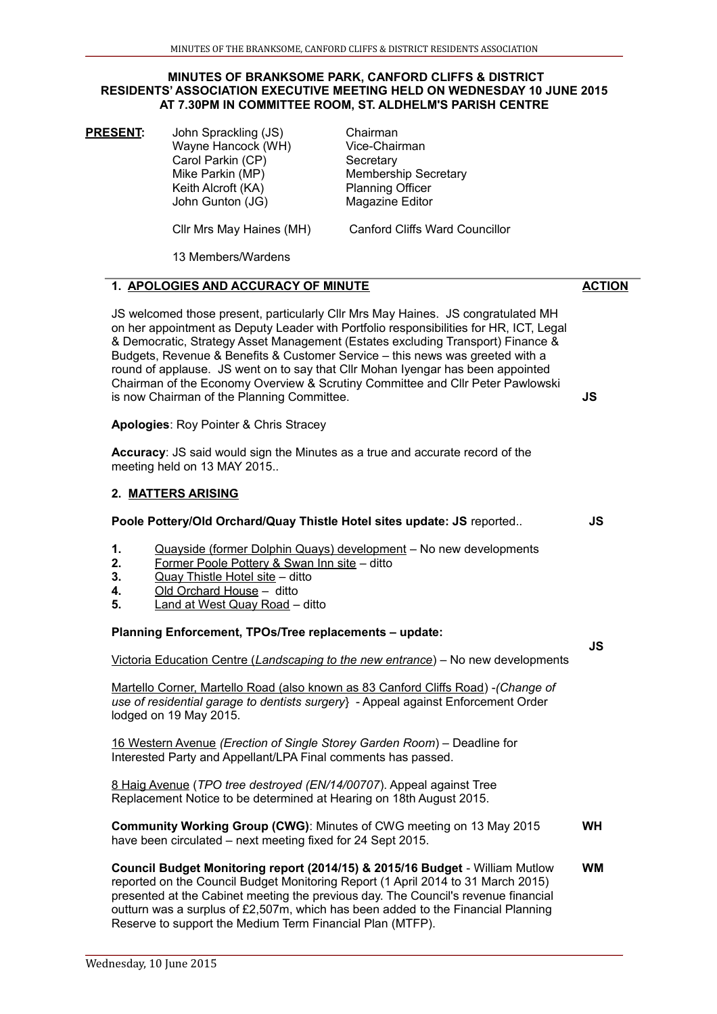#### **MINUTES OF BRANKSOME PARK, CANFORD CLIFFS & DISTRICT RESIDENTS' ASSOCIATION EXECUTIVE MEETING HELD ON WEDNESDAY 10 JUNE 2015 AT 7.30PM IN COMMITTEE ROOM, ST. ALDHELM'S PARISH CENTRE**

**PRESENT:** John Sprackling (JS) Chairman Wayne Hancock (WH) Vice-Chairman Carol Parkin (CP) Secretary Mike Parkin (MP) Membership Secretary Keith Alcroft (KA) Planning Officer John Gunton (JG) Magazine Editor Cllr Mrs May Haines (MH) Canford Cliffs Ward Councillor

13 Members/Wardens

### **1. APOLOGIES AND ACCURACY OF MINUTE**

JS welcomed those present, particularly Cllr Mrs May Haines. JS congratulated MH on her appointment as Deputy Leader with Portfolio responsibilities for HR, ICT, Legal & Democratic, Strategy Asset Management (Estates excluding Transport) Finance & Budgets, Revenue & Benefits & Customer Service – this news was greeted with a round of applause. JS went on to say that Cllr Mohan Iyengar has been appointed Chairman of the Economy Overview & Scrutiny Committee and Cllr Peter Pawlowski is now Chairman of the Planning Committee.

**Apologies**: Roy Pointer & Chris Stracey

**Accuracy**: JS said would sign the Minutes as a true and accurate record of the meeting held on 13 MAY 2015..

## **2. MATTERS ARISING**

### **Poole Pottery/Old Orchard/Quay Thistle Hotel sites update: JS** reported..

- **1.** Quayside (former Dolphin Quays) development No new developments
- **2.** Former Poole Pottery & Swan Inn site ditto
- **3.** Quay Thistle Hotel site ditto
- **4.** Old Orchard House ditto
- **5.** Land at West Quay Roadditto

### **Planning Enforcement, TPOs/Tree replacements – update:**

Victoria Education Centre (*Landscaping to the new entrance*) *–* No new developments

Martello Corner, Martello Road (also known as 83 Canford Cliffs Road) -*(Change of use of residential garage to dentists surgery*} - Appeal against Enforcement Order lodged on 19 May 2015.

16 Western Avenue *(Erection of Single Storey Garden Room*) – Deadline for Interested Party and Appellant/LPA Final comments has passed.

8 Haig Avenue (*TPO tree destroyed (EN/14/00707*). Appeal against Tree Replacement Notice to be determined at Hearing on 18th August 2015.

**Community Working Group (CWG)**: Minutes of CWG meeting on 13 May 2015 have been circulated – next meeting fixed for 24 Sept 2015. **WH**

**Council Budget Monitoring report (2014/15) & 2015/16 Budget** - William Mutlow reported on the Council Budget Monitoring Report (1 April 2014 to 31 March 2015) presented at the Cabinet meeting the previous day. The Council's revenue financial outturn was a surplus of £2,507m, which has been added to the Financial Planning Reserve to support the Medium Term Financial Plan (MTFP). **WM**

**JS**

**ACTION**

 **JS**

 **JS**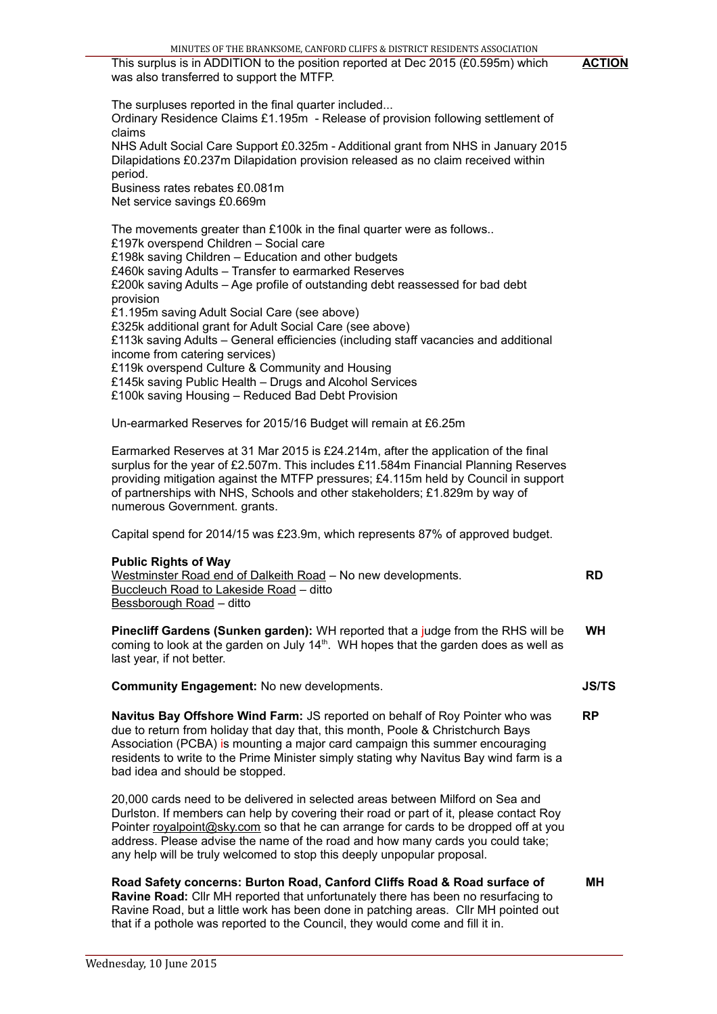**ACTION**

 **MH**

This surplus is in ADDITION to the position reported at Dec 2015 (£0.595m) which was also transferred to support the MTFP.

The surpluses reported in the final quarter included... Ordinary Residence Claims £1.195m - Release of provision following settlement of claims NHS Adult Social Care Support £0.325m - Additional grant from NHS in January 2015 Dilapidations £0.237m Dilapidation provision released as no claim received within period. Business rates rebates £0.081m Net service savings £0.669m The movements greater than £100k in the final quarter were as follows.. £197k overspend Children – Social care £198k saving Children – Education and other budgets £460k saving Adults – Transfer to earmarked Reserves £200k saving Adults – Age profile of outstanding debt reassessed for bad debt provision £1.195m saving Adult Social Care (see above) £325k additional grant for Adult Social Care (see above) £113k saving Adults – General efficiencies (including staff vacancies and additional income from catering services) £119k overspend Culture & Community and Housing £145k saving Public Health – Drugs and Alcohol Services £100k saving Housing – Reduced Bad Debt Provision

Un-earmarked Reserves for 2015/16 Budget will remain at £6.25m

Earmarked Reserves at 31 Mar 2015 is £24.214m, after the application of the final surplus for the year of £2.507m. This includes £11.584m Financial Planning Reserves providing mitigation against the MTFP pressures; £4.115m held by Council in support of partnerships with NHS, Schools and other stakeholders; £1.829m by way of numerous Government. grants.

Capital spend for 2014/15 was £23.9m, which represents 87% of approved budget.

### **Public Rights of Way**

| Westminster Road end of Dalkeith Road - No new developments. | <b>RD</b> |
|--------------------------------------------------------------|-----------|
| Buccleuch Road to Lakeside Road – ditto                      |           |
| <u>Bessborough Road</u> – ditto                              |           |

**Pinecliff Gardens (Sunken garden):** WH reported that a judge from the RHS will be coming to look at the garden on July  $14<sup>th</sup>$ . WH hopes that the garden does as well as last year, if not better.  **WH**

**Community Engagement:** No new developments. **JS/TS**

**Navitus Bay Offshore Wind Farm:** JS reported on behalf of Roy Pointer who was due to return from holiday that day that, this month, Poole & Christchurch Bays Association (PCBA) is mounting a major card campaign this summer encouraging residents to write to the Prime Minister simply stating why Navitus Bay wind farm is a bad idea and should be stopped. **RP**

20,000 cards need to be delivered in selected areas between Milford on Sea and Durlston. If members can help by covering their road or part of it, please contact Roy Pointer royalpoint@sky.com so that he can arrange for cards to be dropped off at you address. Please advise the name of the road and how many cards you could take; any help will be truly welcomed to stop this deeply unpopular proposal.

# **Road Safety concerns: Burton Road, Canford Cliffs Road & Road surface of**

**Ravine Road:** Cllr MH reported that unfortunately there has been no resurfacing to Ravine Road, but a little work has been done in patching areas. Cllr MH pointed out that if a pothole was reported to the Council, they would come and fill it in.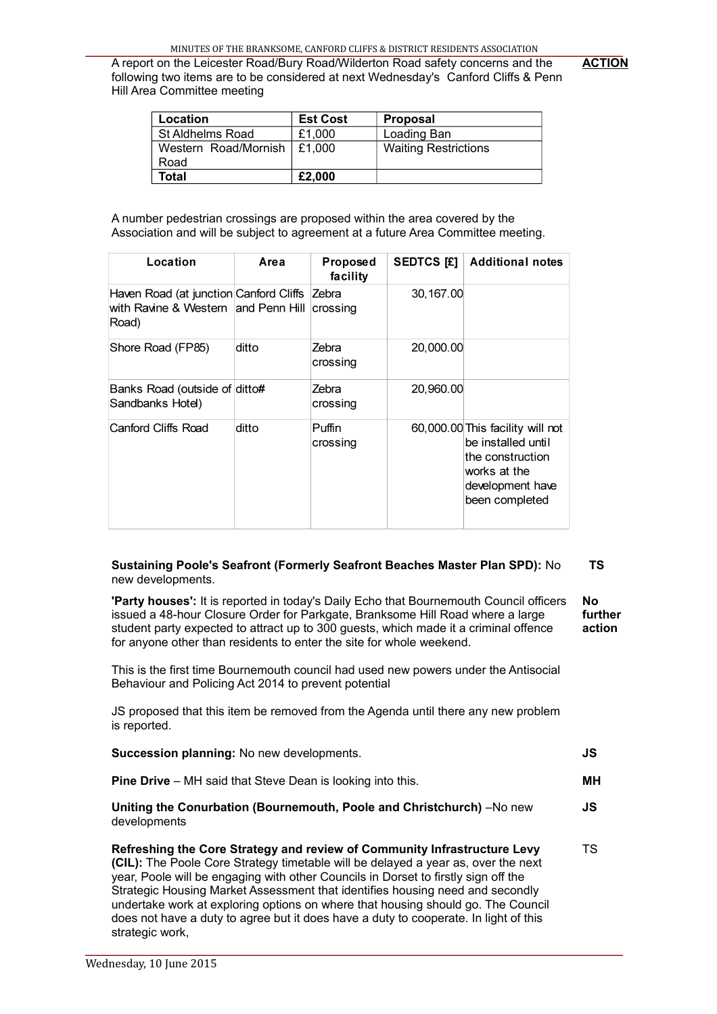**ACTION**

A report on the Leicester Road/Bury Road/Wilderton Road safety concerns and the following two items are to be considered at next Wednesday's Canford Cliffs & Penn Hill Area Committee meeting

| <b>Location</b>                     | <b>Est Cost</b> | <b>Proposal</b>             |
|-------------------------------------|-----------------|-----------------------------|
| St Aldhelms Road                    | £1,000          | Loading Ban                 |
| Western Road/Mornish $\vert$ £1,000 |                 | <b>Waiting Restrictions</b> |
| Road                                |                 |                             |
| Total                               | £2,000          |                             |

A number pedestrian crossings are proposed within the area covered by the Association and will be subject to agreement at a future Area Committee meeting.

| Location                                                                               | Area  | Proposed<br>facility | <b>SEDTCS [£]</b> | <b>Additional notes</b>                                                                                                          |
|----------------------------------------------------------------------------------------|-------|----------------------|-------------------|----------------------------------------------------------------------------------------------------------------------------------|
| Haven Road (at junction Canford Cliffs<br>with Ravine & Western and Penn Hill<br>Road) |       | Zebra<br>∣crossing   | 30, 167.00        |                                                                                                                                  |
| Shore Road (FP85)                                                                      | ditto | Zebra<br>crossing    | 20,000.00         |                                                                                                                                  |
| Banks Road (outside of ditto#<br>Sandbanks Hotel)                                      |       | Zebra<br>crossing    | 20,960,00         |                                                                                                                                  |
| Canford Cliffs Road                                                                    | ditto | Puffin<br>crossing   |                   | 60,000.00 This facility will not<br>be installed until<br>the construction<br>works at the<br>development have<br>been completed |

#### **Sustaining Poole's Seafront (Formerly Seafront Beaches Master Plan SPD):** No new developments.  **TS**

**'Party houses':** It is reported in today's Daily Echo that Bournemouth Council officers issued a 48-hour Closure Order for Parkgate, Branksome Hill Road where a large student party expected to attract up to 300 guests, which made it a criminal offence for anyone other than residents to enter the site for whole weekend. **No further action**

This is the first time Bournemouth council had used new powers under the Antisocial Behaviour and Policing Act 2014 to prevent potential

JS proposed that this item be removed from the Agenda until there any new problem is reported.

| Succession planning: No new developments.                                                                                                                                                                                                                                                                                                                                                                                                                                                                        | JS  |
|------------------------------------------------------------------------------------------------------------------------------------------------------------------------------------------------------------------------------------------------------------------------------------------------------------------------------------------------------------------------------------------------------------------------------------------------------------------------------------------------------------------|-----|
| <b>Pine Drive</b> – MH said that Steve Dean is looking into this.                                                                                                                                                                                                                                                                                                                                                                                                                                                | MН  |
| Uniting the Conurbation (Bournemouth, Poole and Christchurch) -No new<br>developments                                                                                                                                                                                                                                                                                                                                                                                                                            | JS. |
| Refreshing the Core Strategy and review of Community Infrastructure Levy<br>(CIL): The Poole Core Strategy timetable will be delayed a year as, over the next<br>year, Poole will be engaging with other Councils in Dorset to firstly sign off the<br>Strategic Housing Market Assessment that identifies housing need and secondly<br>undertake work at exploring options on where that housing should go. The Council<br>does not have a duty to agree but it does have a duty to cooperate. In light of this | TS. |

strategic work,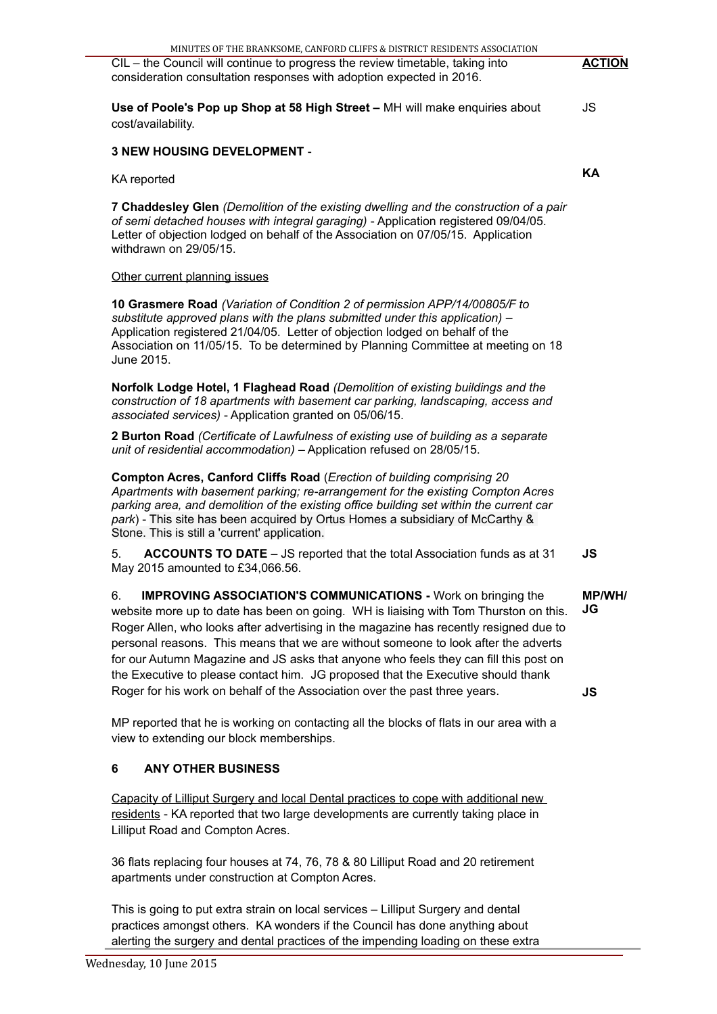MINUTES OF THE BRANKSOME, CANFORD CLIFFS & DISTRICT RESIDENTS ASSOCIATION

36 flats replacing four houses at 74, 76, 78 & 80 Lilliput Road and 20 retirement apartments under construction at Compton Acres.

This is going to put extra strain on local services – Lilliput Surgery and dental practices amongst others. KA wonders if the Council has done anything about alerting the surgery and dental practices of the impending loading on these extra